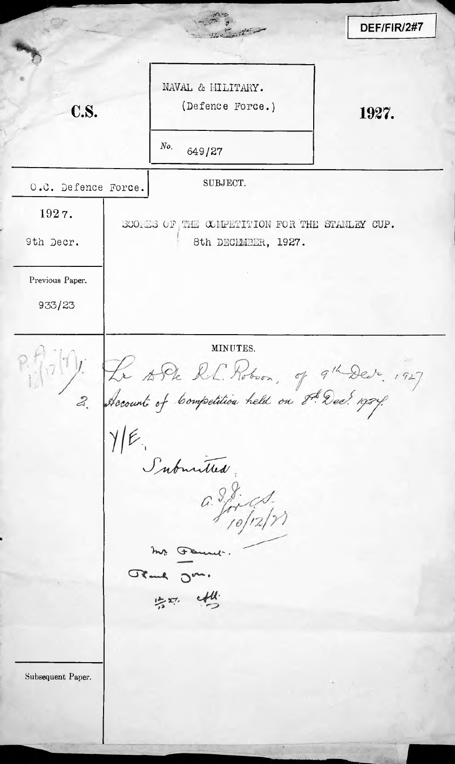DEF/FIR/2#7  $\frac{1}{4}$ NAVAL & MILITARY. C.S. **C.S.** (Defence Force.) 1927. *No.* 649/27 O.C. Defence Force. SUBJECT. 1927. SCORNS OF THE COMPETITION FOR THE STANLEY CUP. 9th Decr. | 8th DECEMBER, 1927. Previous Paper. 933/23  $\Omega_{\text{max}}$  MINUTES. *2***•»** Submitted:  $a. 98.$ r. Femme. GRand Jm.  $1 - 27$ **/>** Subsequent Paper.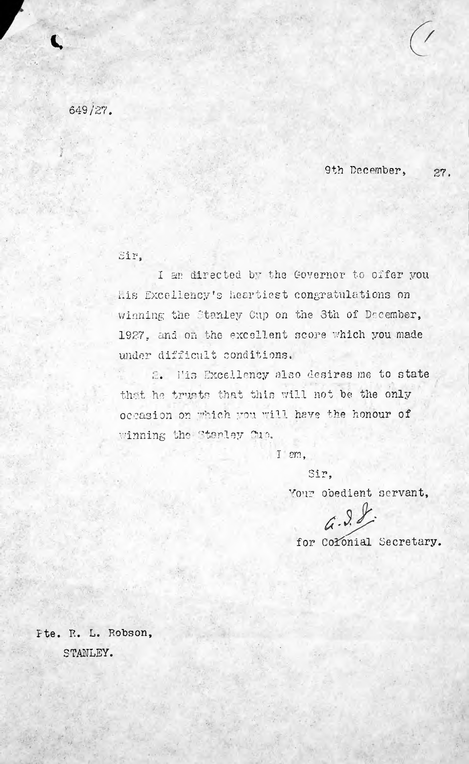649/2?.

**t.**

9th December, *27,*

 $Eir$ .

I am directed by the Governor to offer you Lis Excellency's heartiest congratulations on winning the Stanley Cup on the 3th of December, 1927, and on the excellent score which you made under difficult conditions.

2. Pis Excellency also desires me to state that he trusts that this will not be the only occasion on which you will have the honour of winning the Stanley Duo.

I am,

*T'\**

Your obedient servant,

 $6.98$ 

for Colonial Secretary.

Fte. R. L. Robson, STANLEY.